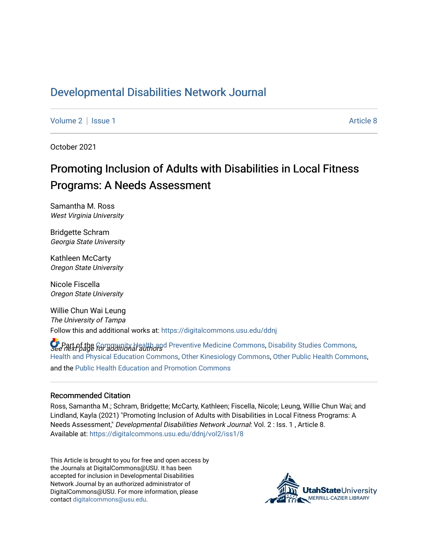## [Developmental Disabilities Network Journal](https://digitalcommons.usu.edu/ddnj)

[Volume 2](https://digitalcommons.usu.edu/ddnj/vol2) | [Issue 1](https://digitalcommons.usu.edu/ddnj/vol2/iss1) Article 8

October 2021

# Promoting Inclusion of Adults with Disabilities in Local Fitness Programs: A Needs Assessment

Samantha M. Ross West Virginia University

Bridgette Schram Georgia State University

Kathleen McCarty Oregon State University

Nicole Fiscella Oregon State University

Willie Chun Wai Leung The University of Tampa Follow this and additional works at: [https://digitalcommons.usu.edu/ddnj](https://digitalcommons.usu.edu/ddnj?utm_source=digitalcommons.usu.edu%2Fddnj%2Fvol2%2Fiss1%2F8&utm_medium=PDF&utm_campaign=PDFCoverPages) 

**C** Part of the [Community Health and Preventive Medicine Commons](http://network.bepress.com/hgg/discipline/744?utm_source=digitalcommons.usu.edu%2Fddnj%2Fvol2%2Fiss1%2F8&utm_medium=PDF&utm_campaign=PDFCoverPages), [Disability Studies Commons,](http://network.bepress.com/hgg/discipline/1417?utm_source=digitalcommons.usu.edu%2Fddnj%2Fvol2%2Fiss1%2F8&utm_medium=PDF&utm_campaign=PDFCoverPages)<br>See next page for additional authors [Health and Physical Education Commons](http://network.bepress.com/hgg/discipline/1327?utm_source=digitalcommons.usu.edu%2Fddnj%2Fvol2%2Fiss1%2F8&utm_medium=PDF&utm_campaign=PDFCoverPages), [Other Kinesiology Commons](http://network.bepress.com/hgg/discipline/47?utm_source=digitalcommons.usu.edu%2Fddnj%2Fvol2%2Fiss1%2F8&utm_medium=PDF&utm_campaign=PDFCoverPages), [Other Public Health Commons](http://network.bepress.com/hgg/discipline/748?utm_source=digitalcommons.usu.edu%2Fddnj%2Fvol2%2Fiss1%2F8&utm_medium=PDF&utm_campaign=PDFCoverPages), and the [Public Health Education and Promotion Commons](http://network.bepress.com/hgg/discipline/743?utm_source=digitalcommons.usu.edu%2Fddnj%2Fvol2%2Fiss1%2F8&utm_medium=PDF&utm_campaign=PDFCoverPages)

#### Recommended Citation

Ross, Samantha M.; Schram, Bridgette; McCarty, Kathleen; Fiscella, Nicole; Leung, Willie Chun Wai; and Lindland, Kayla (2021) "Promoting Inclusion of Adults with Disabilities in Local Fitness Programs: A Needs Assessment," Developmental Disabilities Network Journal: Vol. 2 : Iss. 1 , Article 8. Available at: [https://digitalcommons.usu.edu/ddnj/vol2/iss1/8](https://digitalcommons.usu.edu/ddnj/vol2/iss1/8?utm_source=digitalcommons.usu.edu%2Fddnj%2Fvol2%2Fiss1%2F8&utm_medium=PDF&utm_campaign=PDFCoverPages) 

This Article is brought to you for free and open access by the Journals at DigitalCommons@USU. It has been accepted for inclusion in Developmental Disabilities Network Journal by an authorized administrator of DigitalCommons@USU. For more information, please contact [digitalcommons@usu.edu](mailto:digitalcommons@usu.edu).

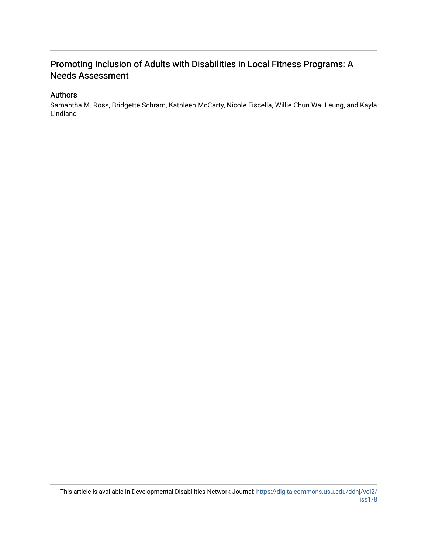### Promoting Inclusion of Adults with Disabilities in Local Fitness Programs: A Needs Assessment

#### Authors

Samantha M. Ross, Bridgette Schram, Kathleen McCarty, Nicole Fiscella, Willie Chun Wai Leung, and Kayla Lindland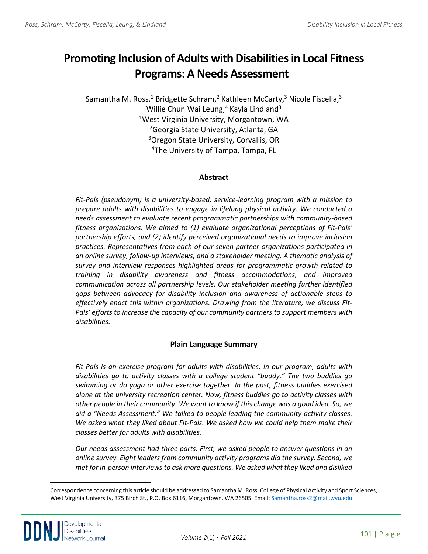# **Promoting Inclusion of Adults with Disabilities in Local Fitness Programs: A Needs Assessment**

Samantha M. Ross,<sup>1</sup> Bridgette Schram,<sup>2</sup> Kathleen McCarty,<sup>3</sup> Nicole Fiscella,<sup>3</sup> Willie Chun Wai Leung, $4$  Kayla Lindland<sup>3</sup> 1West Virginia University, Morgantown, WA <sup>2</sup>Georgia State University, Atlanta, GA <sup>3</sup>Oregon State University, Corvallis, OR <sup>4</sup>The University of Tampa, Tampa, FL

#### **Abstract**

*Fit-Pals (pseudonym) is a university-based, service-learning program with a mission to prepare adults with disabilities to engage in lifelong physical activity. We conducted a needs assessment to evaluate recent programmatic partnerships with community-based fitness organizations. We aimed to (1) evaluate organizational perceptions of Fit-Pals' partnership efforts, and (2) identify perceived organizational needs to improve inclusion practices. Representatives from each of our seven partner organizations participated in an online survey, follow-up interviews, and a stakeholder meeting. A thematic analysis of survey and interview responses highlighted areas for programmatic growth related to training in disability awareness and fitness accommodations, and improved communication across all partnership levels. Our stakeholder meeting further identified gaps between advocacy for disability inclusion and awareness of actionable steps to effectively enact this within organizations. Drawing from the literature, we discuss Fit-Pals' efforts to increase the capacity of our community partners to support members with disabilities.* 

#### **Plain Language Summary**

*Fit-Pals is an exercise program for adults with disabilities. In our program, adults with disabilities go to activity classes with a college student "buddy." The two buddies go swimming or do yoga or other exercise together. In the past, fitness buddies exercised alone at the university recreation center. Now, fitness buddies go to activity classes with other people in their community. We want to know if this change was a good idea. So, we did a "Needs Assessment." We talked to people leading the community activity classes. We asked what they liked about Fit-Pals. We asked how we could help them make their classes better for adults with disabilities.*

*Our needs assessment had three parts. First, we asked people to answer questions in an online survey. Eight leaders from community activity programs did the survey. Second, we met for in-person interviews to ask more questions. We asked what they liked and disliked* 

<span id="page-2-0"></span><sup>a</sup> Correspondence concerning this article should be addressed to Samantha M. Ross, College of Physical Activity and Sport Sciences, West Virginia University, 375 Birch St., P.O. Box 6116, Morgantown, WA 26505. Email[: Samantha.ross2@mail.wvu.edu.](mailto:Samantha.ross2@mail.wvu.edu)

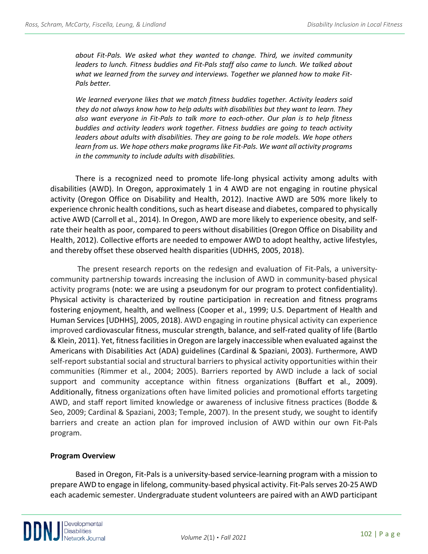*about Fit-Pals. We asked what they wanted to change. Third, we invited community leaders to lunch. Fitness buddies and Fit-Pals staff also came to lunch. We talked about what we learned from the survey and interviews. Together we planned how to make Fit-Pals better.*

*We learned everyone likes that we match fitness buddies together. Activity leaders said they do not always know how to help adults with disabilities but they want to learn. They also want everyone in Fit-Pals to talk more to each-other. Our plan is to help fitness buddies and activity leaders work together. Fitness buddies are going to teach activity leaders about adults with disabilities. They are going to be role models. We hope others learn from us. We hope others make programs like Fit-Pals. We want all activity programs in the community to include adults with disabilities.*

There is a recognized need to promote life-long physical activity among adults with disabilities (AWD). In Oregon, approximately 1 in 4 AWD are not engaging in routine physical activity (Oregon Office on Disability and Health, 2012). Inactive AWD are 50% more likely to experience chronic health conditions, such as heart disease and diabetes, compared to physically active AWD (Carroll et al., 2014). In Oregon, AWD are more likely to experience obesity, and selfrate their health as poor, compared to peers without disabilities (Oregon Office on Disability and Health, 2012). Collective efforts are needed to empower AWD to adopt healthy, active lifestyles, and thereby offset these observed health disparities (UDHHS, 2005, 2018).

The present research reports on the redesign and evaluation of Fit-Pals, a universitycommunity partnership towards increasing the inclusion of AWD in community-based physical activity programs (note: we are using a pseudonym for our program to protect confidentiality). Physical activity is characterized by routine participation in recreation and fitness programs fostering enjoyment, health, and wellness (Cooper et al., 1999; U.S. Department of Health and Human Services [UDHHS], 2005, 2018). AWD engaging in routine physical activity can experience improved cardiovascular fitness, muscular strength, balance, and self-rated quality of life (Bartlo & Klein, 2011). Yet, fitness facilities in Oregon are largely inaccessible when evaluated against the Americans with Disabilities Act (ADA) guidelines (Cardinal & Spaziani, 2003). Furthermore, AWD self-report substantial social and structural barriers to physical activity opportunities within their communities (Rimmer et al., 2004; 2005). Barriers reported by AWD include a lack of social support and community acceptance within fitness organizations (Buffart et al., 2009). Additionally, fitness organizations often have limited policies and promotional efforts targeting AWD, and staff report limited knowledge or awareness of inclusive fitness practices (Bodde & Seo, 2009; Cardinal & Spaziani, 2003; Temple, 2007). In the present study, we sought to identify barriers and create an action plan for improved inclusion of AWD within our own Fit-Pals program.

#### **Program Overview**

Based in Oregon, Fit-Pals is a university-based service-learning program with a mission to prepare AWD to engage in lifelong, community-based physical activity. Fit-Pals serves 20-25 AWD each academic semester. Undergraduate student volunteers are paired with an AWD participant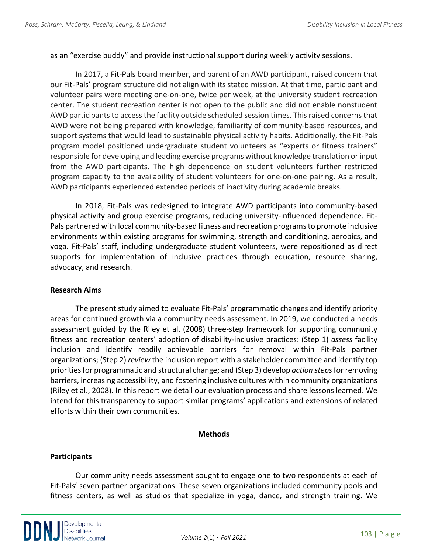as an "exercise buddy" and provide instructional support during weekly activity sessions.

In 2017, a Fit-Pals board member, and parent of an AWD participant, raised concern that our Fit-Pals' program structure did not align with its stated mission. At that time, participant and volunteer pairs were meeting one-on-one, twice per week, at the university student recreation center. The student recreation center is not open to the public and did not enable nonstudent AWD participants to access the facility outside scheduled session times. This raised concerns that AWD were not being prepared with knowledge, familiarity of community-based resources, and support systems that would lead to sustainable physical activity habits. Additionally, the Fit-Pals program model positioned undergraduate student volunteers as "experts or fitness trainers" responsible for developing and leading exercise programs without knowledge translation or input from the AWD participants. The high dependence on student volunteers further restricted program capacity to the availability of student volunteers for one-on-one pairing. As a result, AWD participants experienced extended periods of inactivity during academic breaks.

In 2018, Fit-Pals was redesigned to integrate AWD participants into community-based physical activity and group exercise programs, reducing university-influenced dependence. Fit-Pals partnered with local community-based fitness and recreation programs to promote inclusive environments within existing programs for swimming, strength and conditioning, aerobics, and yoga. Fit-Pals' staff, including undergraduate student volunteers, were repositioned as direct supports for implementation of inclusive practices through education, resource sharing, advocacy, and research.

#### **Research Aims**

The present study aimed to evaluate Fit-Pals' programmatic changes and identify priority areas for continued growth via a community needs assessment. In 2019, we conducted a needs assessment guided by the Riley et al. (2008) three-step framework for supporting community fitness and recreation centers' adoption of disability-inclusive practices: (Step 1) *assess* facility inclusion and identify readily achievable barriers for removal within Fit-Pals partner organizations; (Step 2) *review* the inclusion report with a stakeholder committee and identify top priorities for programmatic and structural change; and (Step 3) develop *action steps*for removing barriers, increasing accessibility, and fostering inclusive cultures within community organizations (Riley et al., 2008). In this report we detail our evaluation process and share lessons learned. We intend for this transparency to support similar programs' applications and extensions of related efforts within their own communities.

#### **Methods**

#### **Participants**

Our community needs assessment sought to engage one to two respondents at each of Fit-Pals' seven partner organizations. These seven organizations included community pools and fitness centers, as well as studios that specialize in yoga, dance, and strength training. We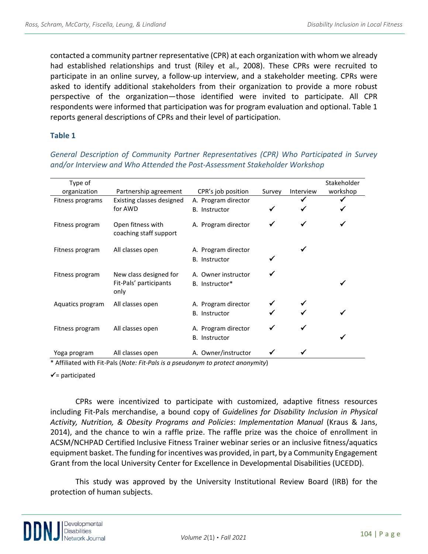contacted a community partner representative (CPR) at each organization with whom we already had established relationships and trust (Riley et al., 2008). These CPRs were recruited to participate in an online survey, a follow-up interview, and a stakeholder meeting. CPRs were asked to identify additional stakeholders from their organization to provide a more robust perspective of the organization—those identified were invited to participate. All CPR respondents were informed that participation was for program evaluation and optional. Table 1 reports general descriptions of CPRs and their level of participation.

#### **Table 1**

Type of organization Partnership agreement CPR's job position Survey Interview Stakeholder workshop Fitness programs Existing classes designed for AWD A. Program director B. Instructor  $\checkmark$   $\checkmark$ Fitness program Open fitness with coaching staff support A. Program director Fitness program All classes open A. Program director B. Instructor Fitness program New class designed for Fit-Pals' participants only A. Owner instructor B. Instructor\* Aquatics program All classes open A. Program director B. Instructor Fitness program All classes open A. Program director B. Instructor Yoga program All classes open A. Owner/instructor  $\checkmark$ 

*General Description of Community Partner Representatives (CPR) Who Participated in Survey and/or Interview and Who Attended the Post-Assessment Stakeholder Workshop*

\* Affiliated with Fit-Pals (*Note: Fit-Pals is a pseudonym to protect anonymity*)

 $\checkmark$  = participated

CPRs were incentivized to participate with customized, adaptive fitness resources including Fit-Pals merchandise, a bound copy of *Guidelines for Disability Inclusion in Physical Activity, Nutrition, & Obesity Programs and Policies*: *Implementation Manual* (Kraus & Jans, 2014), and the chance to win a raffle prize. The raffle prize was the choice of enrollment in ACSM/NCHPAD Certified Inclusive Fitness Trainer webinar series or an inclusive fitness/aquatics equipment basket. The funding for incentives was provided, in part, by a Community Engagement Grant from the local University Center for Excellence in Developmental Disabilities (UCEDD).

This study was approved by the University Institutional Review Board (IRB) for the protection of human subjects.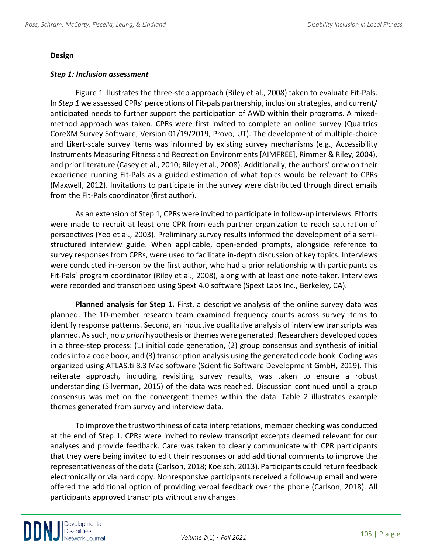#### **Design**

#### *Step 1: Inclusion assessment*

Figure 1 illustrates the three-step approach (Riley et al., 2008) taken to evaluate Fit-Pals. In *Step 1* we assessed CPRs' perceptions of Fit-pals partnership, inclusion strategies, and current/ anticipated needs to further support the participation of AWD within their programs. A mixedmethod approach was taken. CPRs were first invited to complete an online survey (Qualtrics CoreXM Survey Software; Version 01/19/2019, Provo, UT). The development of multiple-choice and Likert-scale survey items was informed by existing survey mechanisms (e.g., Accessibility Instruments Measuring Fitness and Recreation Environments [AIMFREE], Rimmer & Riley, 2004), and prior literature (Casey et al., 2010; Riley et al., 2008). Additionally, the authors' drew on their experience running Fit-Pals as a guided estimation of what topics would be relevant to CPRs (Maxwell, 2012). Invitations to participate in the survey were distributed through direct emails from the Fit-Pals coordinator (first author).

As an extension of Step 1, CPRs were invited to participate in follow-up interviews. Efforts were made to recruit at least one CPR from each partner organization to reach saturation of perspectives (Yeo et al., 2003). Preliminary survey results informed the development of a semistructured interview guide. When applicable, open-ended prompts, alongside reference to survey responses from CPRs, were used to facilitate in-depth discussion of key topics. Interviews were conducted in-person by the first author, who had a prior relationship with participants as Fit-Pals' program coordinator (Riley et al., 2008), along with at least one note-taker. Interviews were recorded and transcribed using Spext 4.0 software (Spext Labs Inc., Berkeley, CA).

**Planned analysis for Step 1.** First, a descriptive analysis of the online survey data was planned. The 10-member research team examined frequency counts across survey items to identify response patterns. Second, an inductive qualitative analysis of interview transcripts was planned. As such, no *a priori* hypothesis or themes were generated. Researchers developed codes in a three-step process: (1) initial code generation, (2) group consensus and synthesis of initial codes into a code book, and (3) transcription analysis using the generated code book. Coding was organized using ATLAS.ti 8.3 Mac software (Scientific Software Development GmbH, 2019). This reiterate approach, including revisiting survey results, was taken to ensure a robust understanding (Silverman, 2015) of the data was reached. Discussion continued until a group consensus was met on the convergent themes within the data. Table 2 illustrates example themes generated from survey and interview data.

To improve the trustworthiness of data interpretations, member checking was conducted at the end of Step 1. CPRs were invited to review transcript excerpts deemed relevant for our analyses and provide feedback. Care was taken to clearly communicate with CPR participants that they were being invited to edit their responses or add additional comments to improve the representativeness of the data (Carlson, 2018; Koelsch, 2013).Participants could return feedback electronically or via hard copy. Nonresponsive participants received a follow-up email and were offered the additional option of providing verbal feedback over the phone (Carlson, 2018). All participants approved transcripts without any changes.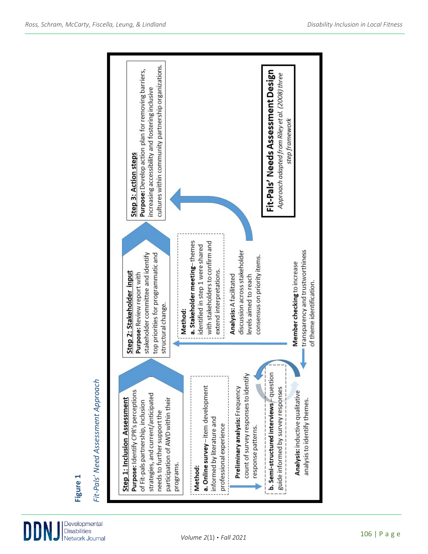

# **Figure 1**

# Fit-Pals' Need Assessment Approach *Fit-Pals' Need Assessment Approach*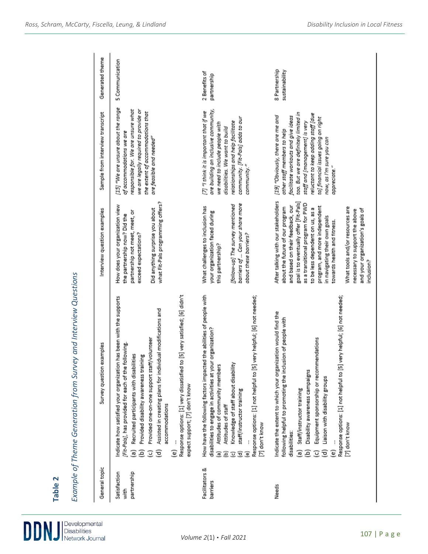| General topic                       | Survey question examples                                                                                                                                                                                                                                                                                                                                                                                                                                                                              | Interview question examples                                                                                                                                                                                                                                                                                                                                                                                                                           | Sample from interview transcript                                                                                                                                                                                                                                                                            | Generated theme                 |
|-------------------------------------|-------------------------------------------------------------------------------------------------------------------------------------------------------------------------------------------------------------------------------------------------------------------------------------------------------------------------------------------------------------------------------------------------------------------------------------------------------------------------------------------------------|-------------------------------------------------------------------------------------------------------------------------------------------------------------------------------------------------------------------------------------------------------------------------------------------------------------------------------------------------------------------------------------------------------------------------------------------------------|-------------------------------------------------------------------------------------------------------------------------------------------------------------------------------------------------------------------------------------------------------------------------------------------------------------|---------------------------------|
| partnership<br>Satisfaction<br>with | Response options: [1] very dissatisfied to [5] very satisfied; [6] didn't<br>Indicate how satisfied your organization has been with the supports<br>Assisted in creating plans for individual modifications and<br>Provided one-on-one support staff/volunteer<br>(Fit-Pals), has provided for each of the following.<br>Recruited participants with disabilities<br>Provided disability awareness training<br>expect support; [7] don't know<br>accommodations<br>ê<br>Ξ<br>ō<br>$\overline{c}$<br>T | what Fit-Pals programming offers?<br>How does your organization view<br>Did anything surprise you about<br>partnership not meet, meet, or<br>the partnership now? Did the<br>exceed expectations?                                                                                                                                                                                                                                                     | [15] "We are unsure about the range<br>responsible for. We are unsure what<br>we are legally required to provide or<br>the extent of accommodations that<br>of accommodations we are<br>are feasible and needed"                                                                                            | 5 Communication                 |
| Facilitators &<br>barriers          | How have the following factors impacted the abilities of people with<br>Response options: [1] not helpful to [5] very helpful; [6] not needed;<br>disabilities to engage in activities at your organization?<br>Knowledge of staff about disability<br>Attitudes of community members<br>staff/instructor training<br>Attitudes of staff<br>[7] don't know<br>Ξ<br>Ξ<br>$\overline{a}$<br>Q<br>⊕                                                                                                      | barriers of  Can your share more<br>[follow-up] The survey mentioned<br>What challenges to inclusion has<br>your organization faced during<br>about these barriers?<br>this partnership?                                                                                                                                                                                                                                                              | are building an inclusive community,<br>[7] "I think it is important that if we<br>community. [Fit-Pals] adds to our<br>relationships and help facilitate<br>we need to include people with<br>disabilities. We want to build<br>community."                                                                | 2 Benefits of<br>partnership    |
| Needs                               | Response options: [1] not helpful to [5] very helpful; [6] not needed;<br>Indicate the extent to which your organization would find the<br>following helpful to promoting the inclusion of people with<br>Equipment sponsorship or recommendations<br>Disability awareness campaigns<br>Liaison with disability groups<br>Staff/instructor training<br>[7] don't know<br>disabilities:<br>$\widehat{\sigma}$<br>ē<br>ම<br>T<br>Ξ                                                                      | After talking with our stakeholders<br>goal is to eventually offer [Fit-Pals]<br>as a transitional program for PWD<br>and based on their feedback, our<br>program, and more independent<br>What tools and/or resources are<br>about the future of our program<br>to be less dependent on us, as a<br>and your organization's goals of<br>necessary to support the above<br>in navigating their own goals<br>towards health and fitness.<br>inclusion? | too. But we are definitely limited in<br>reluctant to keep adding staff [due<br>(19) "Obviously, there are me and<br>facilitate workouts and give ideas<br>to) financial issues going on right<br>staff and [management] is very<br>other staff members to help<br>now, as I'm sure you can<br>appreciate." | 8 Partnership<br>sustainability |

**Table 2**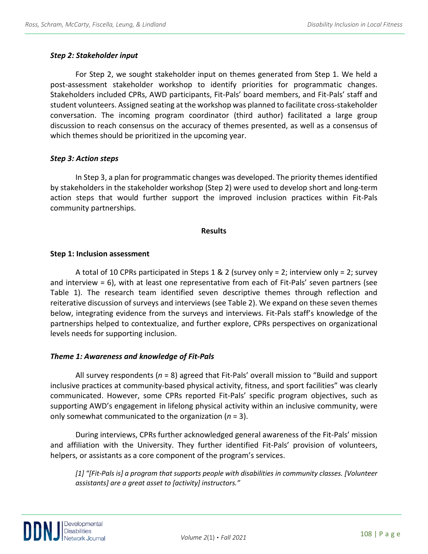#### *Step 2: Stakeholder input*

For Step 2, we sought stakeholder input on themes generated from Step 1. We held a post-assessment stakeholder workshop to identify priorities for programmatic changes. Stakeholders included CPRs, AWD participants, Fit-Pals' board members, and Fit-Pals' staff and student volunteers. Assigned seating at the workshop was planned to facilitate cross-stakeholder conversation. The incoming program coordinator (third author) facilitated a large group discussion to reach consensus on the accuracy of themes presented, as well as a consensus of which themes should be prioritized in the upcoming year.

#### *Step 3: Action steps*

In Step 3, a plan for programmatic changes was developed. The priority themes identified by stakeholders in the stakeholder workshop (Step 2) were used to develop short and long-term action steps that would further support the improved inclusion practices within Fit-Pals community partnerships.

#### **Results**

#### **Step 1: Inclusion assessment**

A total of 10 CPRs participated in Steps 1 & 2 (survey only = 2; interview only = 2; survey and interview = 6), with at least one representative from each of Fit-Pals' seven partners (see Table 1). The research team identified seven descriptive themes through reflection and reiterative discussion of surveys and interviews (see Table 2). We expand on these seven themes below, integrating evidence from the surveys and interviews. Fit-Pals staff's knowledge of the partnerships helped to contextualize, and further explore, CPRs perspectives on organizational levels needs for supporting inclusion.

#### *Theme 1: Awareness and knowledge of Fit-Pals*

All survey respondents (*n* = 8) agreed that Fit-Pals' overall mission to "Build and support inclusive practices at community-based physical activity, fitness, and sport facilities" was clearly communicated. However, some CPRs reported Fit-Pals' specific program objectives, such as supporting AWD's engagement in lifelong physical activity within an inclusive community, were only somewhat communicated to the organization (*n* = 3).

During interviews, CPRs further acknowledged general awareness of the Fit-Pals' mission and affiliation with the University. They further identified Fit-Pals' provision of volunteers, helpers, or assistants as a core component of the program's services.

*[1] "[Fit-Pals is] a program that supports people with disabilities in community classes. [Volunteer assistants] are a great asset to [activity] instructors."*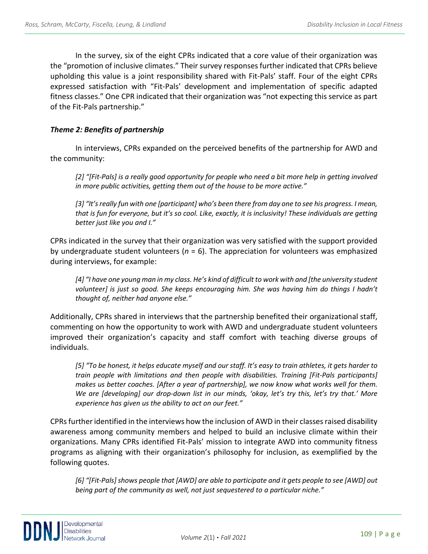In the survey, six of the eight CPRs indicated that a core value of their organization was the "promotion of inclusive climates." Their survey responses further indicated that CPRs believe upholding this value is a joint responsibility shared with Fit-Pals' staff. Four of the eight CPRs expressed satisfaction with "Fit-Pals' development and implementation of specific adapted fitness classes." One CPR indicated that their organization was "not expecting this service as part of the Fit-Pals partnership."

#### *Theme 2: Benefits of partnership*

In interviews, CPRs expanded on the perceived benefits of the partnership for AWD and the community:

*[2] "[Fit-Pals] is a really good opportunity for people who need a bit more help in getting involved in more public activities, getting them out of the house to be more active."*

*[3] "It's really fun with one [participant] who's been there from day one to see his progress. I mean, that is fun for everyone, but it's so cool. Like, exactly, it is inclusivity! These individuals are getting better just like you and I."*

CPRs indicated in the survey that their organization was very satisfied with the support provided by undergraduate student volunteers (*n* = 6). The appreciation for volunteers was emphasized during interviews, for example:

*[4] "I have one young man in my class. He's kind of difficult to work with and [the university student volunteer] is just so good. She keeps encouraging him. She was having him do things I hadn't thought of, neither had anyone else."*

Additionally, CPRs shared in interviews that the partnership benefited their organizational staff, commenting on how the opportunity to work with AWD and undergraduate student volunteers improved their organization's capacity and staff comfort with teaching diverse groups of individuals.

*[5] "To be honest, it helps educate myself and our staff. It's easy to train athletes, it gets harder to train people with limitations and then people with disabilities. Training [Fit-Pals participants] makes us better coaches. [After a year of partnership], we now know what works well for them. We are [developing] our drop-down list in our minds, 'okay, let's try this, let's try that.' More experience has given us the ability to act on our feet."*

CPRs further identified in the interviews how the inclusion of AWD in their classes raised disability awareness among community members and helped to build an inclusive climate within their organizations. Many CPRs identified Fit-Pals' mission to integrate AWD into community fitness programs as aligning with their organization's philosophy for inclusion, as exemplified by the following quotes.

*[6] "[Fit-Pals] shows people that [AWD] are able to participate and it gets people to see [AWD] out being part of the community as well, not just sequestered to a particular niche."*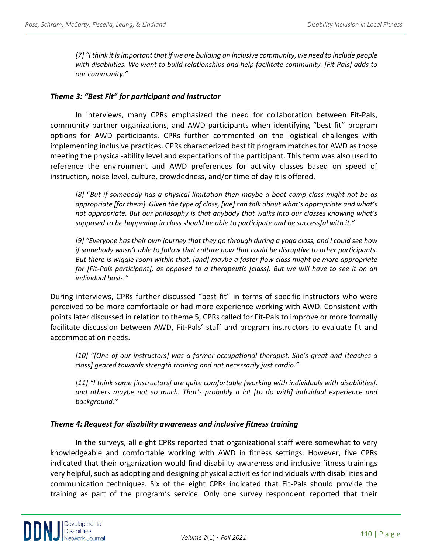*[7] "I think it is important that if we are building an inclusive community, we need to include people with disabilities. We want to build relationships and help facilitate community. [Fit-Pals] adds to our community."*

#### *Theme 3: "Best Fit" for participant and instructor*

In interviews, many CPRs emphasized the need for collaboration between Fit-Pals, community partner organizations, and AWD participants when identifying "best fit" program options for AWD participants. CPRs further commented on the logistical challenges with implementing inclusive practices. CPRs characterized best fit program matches for AWD as those meeting the physical-ability level and expectations of the participant. This term was also used to reference the environment and AWD preferences for activity classes based on speed of instruction, noise level, culture, crowdedness, and/or time of day it is offered.

*[8]* "*But if somebody has a physical limitation then maybe a boot camp class might not be as appropriate [for them]. Given the type of class, [we] can talk about what's appropriate and what's not appropriate. But our philosophy is that anybody that walks into our classes knowing what's supposed to be happening in class should be able to participate and be successful with it."*

*[9] "Everyone has their own journey that they go through during a yoga class, and I could see how if somebody wasn't able to follow that culture how that could be disruptive to other participants. But there is wiggle room within that, [and] maybe a faster flow class might be more appropriate for [Fit-Pals participant], as opposed to a therapeutic [class]. But we will have to see it on an individual basis."*

During interviews, CPRs further discussed "best fit" in terms of specific instructors who were perceived to be more comfortable or had more experience working with AWD. Consistent with points later discussed in relation to theme 5, CPRs called for Fit-Pals to improve or more formally facilitate discussion between AWD, Fit-Pals' staff and program instructors to evaluate fit and accommodation needs.

*[10] "[One of our instructors] was a former occupational therapist. She's great and [teaches a class] geared towards strength training and not necessarily just cardio."*

*[11] "I think some [instructors] are quite comfortable [working with individuals with disabilities], and others maybe not so much. That's probably a lot [to do with] individual experience and background."*

#### *Theme 4: Request for disability awareness and inclusive fitness training*

In the surveys, all eight CPRs reported that organizational staff were somewhat to very knowledgeable and comfortable working with AWD in fitness settings. However, five CPRs indicated that their organization would find disability awareness and inclusive fitness trainings very helpful, such as adopting and designing physical activitiesfor individuals with disabilities and communication techniques. Six of the eight CPRs indicated that Fit-Pals should provide the training as part of the program's service. Only one survey respondent reported that their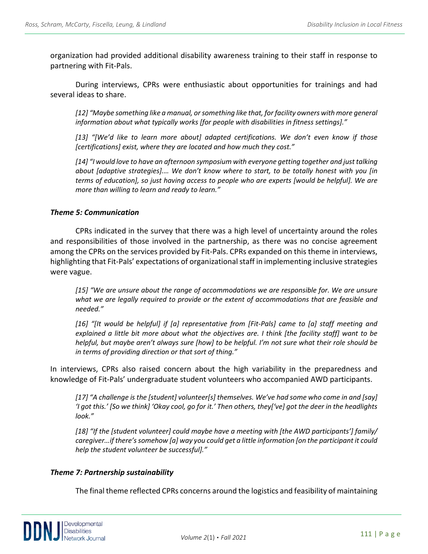organization had provided additional disability awareness training to their staff in response to partnering with Fit-Pals.

During interviews, CPRs were enthusiastic about opportunities for trainings and had several ideas to share.

*[12] "Maybe something like a manual, or something like that, for facility owners with more general information about what typically works [for people with disabilities in fitness settings]."*

*[13] "[We'd like to learn more about] adapted certifications. We don't even know if those [certifications] exist, where they are located and how much they cost."*

*[14] "I would love to have an afternoon symposium with everyone getting together and just talking about [adaptive strategies].… We don't know where to start, to be totally honest with you [in terms of education], so just having access to people who are experts [would be helpful]. We are more than willing to learn and ready to learn."*

#### *Theme 5: Communication*

CPRs indicated in the survey that there was a high level of uncertainty around the roles and responsibilities of those involved in the partnership, as there was no concise agreement among the CPRs on the services provided by Fit-Pals. CPRs expanded on this theme in interviews, highlighting that Fit-Pals' expectations of organizational staff in implementing inclusive strategies were vague.

*[15] "We are unsure about the range of accommodations we are responsible for. We are unsure what we are legally required to provide or the extent of accommodations that are feasible and needed."*

*[16] "[It would be helpful] if [a] representative from [Fit-Pals] came to [a] staff meeting and explained a little bit more about what the objectives are. I think [the facility staff] want to be helpful, but maybe aren't always sure [how] to be helpful. I'm not sure what their role should be in terms of providing direction or that sort of thing."*

In interviews, CPRs also raised concern about the high variability in the preparedness and knowledge of Fit-Pals' undergraduate student volunteers who accompanied AWD participants.

*[17] "A challenge is the [student] volunteer[s] themselves. We've had some who come in and [say] 'I got this.' [So we think] 'Okay cool, go for it.' Then others, they['ve] got the deer in the headlights look."*

*[18] "If the [student volunteer] could maybe have a meeting with [the AWD participants'] family/ caregiver…if there's somehow [a] way you could get a little information [on the participant it could help the student volunteer be successful]."*

#### *Theme 7: Partnership sustainability*

The final theme reflected CPRs concerns around the logistics and feasibility of maintaining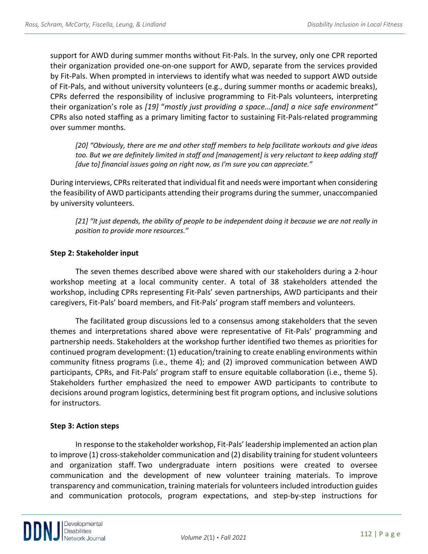support for AWD during summer months without Fit-Pals. In the survey, only one CPR reported their organization provided one-on-one support for AWD, separate from the services provided by Fit-Pals. When prompted in interviews to identify what was needed to support AWD outside of Fit-Pals, and without university volunteers (e.g., during summer months or academic breaks), CPRs deferred the responsibility of inclusive programming to Fit-Pals volunteers, interpreting their organization's role as *[19]* "*mostly just providing a space…[and] a nice safe environment"* CPRs also noted staffing as a primary limiting factor to sustaining Fit-Pals-related programming over summer months.

*[20] "Obviously, there are me and other staff members to help facilitate workouts and give ideas too. But we are definitely limited in staff and [management] is very reluctant to keep adding staff [due to] financial issues going on right now, as I'm sure you can appreciate."*

During interviews, CPRs reiterated that individual fit and needs were important when considering the feasibility of AWD participants attending their programs during the summer, unaccompanied by university volunteers.

*[21] "It just depends, the ability of people to be independent doing it because we are not really in position to provide more resources."* 

#### **Step 2: Stakeholder input**

The seven themes described above were shared with our stakeholders during a 2-hour workshop meeting at a local community center. A total of 38 stakeholders attended the workshop, including CPRs representing Fit-Pals' seven partnerships, AWD participants and their caregivers, Fit-Pals' board members, and Fit-Pals' program staff members and volunteers.

The facilitated group discussions led to a consensus among stakeholders that the seven themes and interpretations shared above were representative of Fit-Pals' programming and partnership needs. Stakeholders at the workshop further identified two themes as priorities for continued program development: (1) education/training to create enabling environments within community fitness programs (i.e., theme 4); and (2) improved communication between AWD participants, CPRs, and Fit-Pals' program staff to ensure equitable collaboration (i.e., theme 5). Stakeholders further emphasized the need to empower AWD participants to contribute to decisions around program logistics, determining best fit program options, and inclusive solutions for instructors.

#### **Step 3: Action steps**

In response to the stakeholder workshop, Fit-Pals' leadership implemented an action plan to improve (1) cross-stakeholder communication and (2) disability training for student volunteers and organization staff. Two undergraduate intern positions were created to oversee communication and the development of new volunteer training materials. To improve transparency and communication, training materials for volunteers included introduction guides and communication protocols, program expectations, and step-by-step instructions for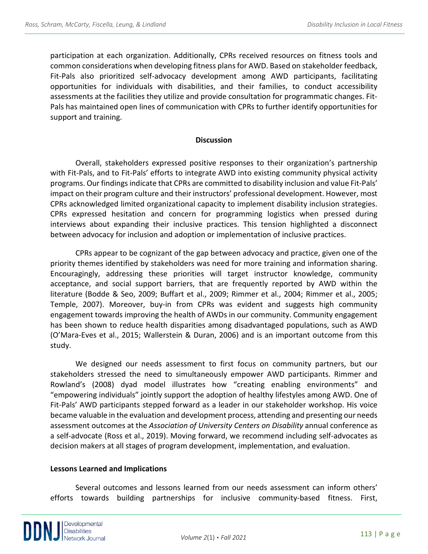participation at each organization. Additionally, CPRs received resources on fitness tools and common considerations when developing fitness plans for AWD. Based on stakeholder feedback, Fit-Pals also prioritized self-advocacy development among AWD participants, facilitating opportunities for individuals with disabilities, and their families, to conduct accessibility assessments at the facilities they utilize and provide consultation for programmatic changes. Fit-Pals has maintained open lines of communication with CPRs to further identify opportunities for support and training.

#### **Discussion**

Overall, stakeholders expressed positive responses to their organization's partnership with Fit-Pals, and to Fit-Pals' efforts to integrate AWD into existing community physical activity programs. Our findings indicate that CPRs are committed to disability inclusion and value Fit-Pals' impact on their program culture and their instructors' professional development. However, most CPRs acknowledged limited organizational capacity to implement disability inclusion strategies. CPRs expressed hesitation and concern for programming logistics when pressed during interviews about expanding their inclusive practices. This tension highlighted a disconnect between advocacy for inclusion and adoption or implementation of inclusive practices.

CPRs appear to be cognizant of the gap between advocacy and practice, given one of the priority themes identified by stakeholders was need for more training and information sharing. Encouragingly, addressing these priorities will target instructor knowledge, community acceptance, and social support barriers, that are frequently reported by AWD within the literature (Bodde & Seo, 2009; Buffart et al., 2009; Rimmer et al., 2004; Rimmer et al., 2005; Temple, 2007). Moreover, buy-in from CPRs was evident and suggests high community engagement towards improving the health of AWDs in our community. Community engagement has been shown to reduce health disparities among disadvantaged populations, such as AWD (O'Mara-Eves et al., 2015; Wallerstein & Duran, 2006) and is an important outcome from this study.

We designed our needs assessment to first focus on community partners, but our stakeholders stressed the need to simultaneously empower AWD participants. Rimmer and Rowland's (2008) dyad model illustrates how "creating enabling environments" and "empowering individuals" jointly support the adoption of healthy lifestyles among AWD. One of Fit-Pals' AWD participants stepped forward as a leader in our stakeholder workshop. His voice became valuable in the evaluation and development process, attending and presenting our needs assessment outcomes at the *Association of University Centers on Disability* annual conference as a self-advocate (Ross et al., 2019). Moving forward, we recommend including self-advocates as decision makers at all stages of program development, implementation, and evaluation.

#### **Lessons Learned and Implications**

Several outcomes and lessons learned from our needs assessment can inform others' efforts towards building partnerships for inclusive community-based fitness. First,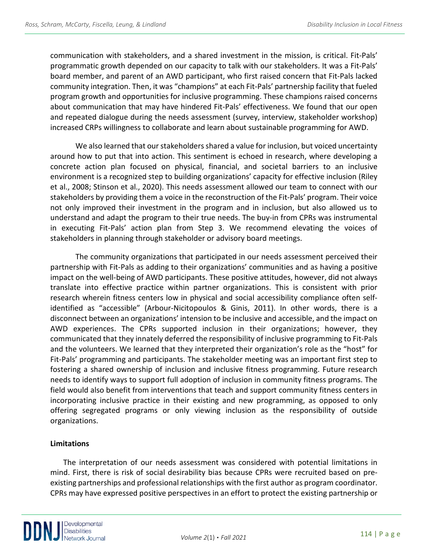communication with stakeholders, and a shared investment in the mission, is critical. Fit-Pals' programmatic growth depended on our capacity to talk with our stakeholders. It was a Fit-Pals' board member, and parent of an AWD participant, who first raised concern that Fit-Pals lacked community integration. Then, it was "champions" at each Fit-Pals' partnership facility that fueled program growth and opportunities for inclusive programming. These champions raised concerns about communication that may have hindered Fit-Pals' effectiveness. We found that our open and repeated dialogue during the needs assessment (survey, interview, stakeholder workshop) increased CRPs willingness to collaborate and learn about sustainable programming for AWD.

We also learned that our stakeholders shared a value for inclusion, but voiced uncertainty around how to put that into action. This sentiment is echoed in research, where developing a concrete action plan focused on physical, financial, and societal barriers to an inclusive environment is a recognized step to building organizations' capacity for effective inclusion (Riley et al., 2008; Stinson et al., 2020). This needs assessment allowed our team to connect with our stakeholders by providing them a voice in the reconstruction of the Fit-Pals' program. Their voice not only improved their investment in the program and in inclusion, but also allowed us to understand and adapt the program to their true needs. The buy-in from CPRs was instrumental in executing Fit-Pals' action plan from Step 3. We recommend elevating the voices of stakeholders in planning through stakeholder or advisory board meetings.

The community organizations that participated in our needs assessment perceived their partnership with Fit-Pals as adding to their organizations' communities and as having a positive impact on the well-being of AWD participants. These positive attitudes, however, did not always translate into effective practice within partner organizations. This is consistent with prior research wherein fitness centers low in physical and social accessibility compliance often selfidentified as "accessible" (Arbour-Nicitopoulos & Ginis, 2011). In other words, there is a disconnect between an organizations' intension to be inclusive and accessible, and the impact on AWD experiences. The CPRs supported inclusion in their organizations; however, they communicated that they innately deferred the responsibility of inclusive programming to Fit-Pals and the volunteers. We learned that they interpreted their organization's role as the "host" for Fit-Pals' programming and participants. The stakeholder meeting was an important first step to fostering a shared ownership of inclusion and inclusive fitness programming. Future research needs to identify ways to support full adoption of inclusion in community fitness programs. The field would also benefit from interventions that teach and support community fitness centers in incorporating inclusive practice in their existing and new programming, as opposed to only offering segregated programs or only viewing inclusion as the responsibility of outside organizations.

#### **Limitations**

The interpretation of our needs assessment was considered with potential limitations in mind. First, there is risk of social desirability bias because CPRs were recruited based on preexisting partnerships and professional relationships with the first author as program coordinator. CPRs may have expressed positive perspectives in an effort to protect the existing partnership or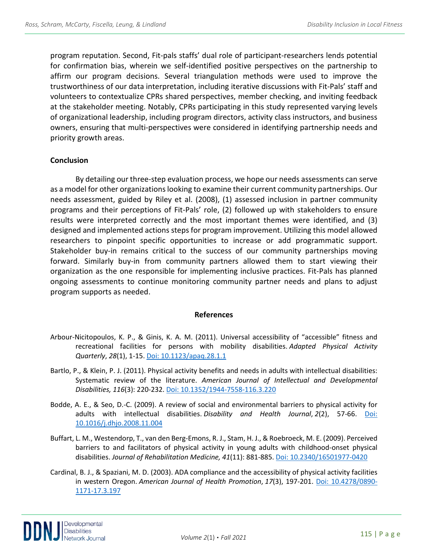program reputation. Second, Fit-pals staffs' dual role of participant-researchers lends potential for confirmation bias, wherein we self-identified positive perspectives on the partnership to affirm our program decisions. Several triangulation methods were used to improve the trustworthiness of our data interpretation, including iterative discussions with Fit-Pals' staff and volunteers to contextualize CPRs shared perspectives, member checking, and inviting feedback at the stakeholder meeting. Notably, CPRs participating in this study represented varying levels of organizational leadership, including program directors, activity class instructors, and business owners, ensuring that multi-perspectives were considered in identifying partnership needs and priority growth areas.

#### **Conclusion**

By detailing our three-step evaluation process, we hope our needs assessments can serve as a model for other organizations looking to examine their current community partnerships. Our needs assessment, guided by Riley et al. (2008), (1) assessed inclusion in partner community programs and their perceptions of Fit-Pals' role, (2) followed up with stakeholders to ensure results were interpreted correctly and the most important themes were identified, and (3) designed and implemented actions steps for program improvement. Utilizing this model allowed researchers to pinpoint specific opportunities to increase or add programmatic support. Stakeholder buy-in remains critical to the success of our community partnerships moving forward. Similarly buy-in from community partners allowed them to start viewing their organization as the one responsible for implementing inclusive practices. Fit-Pals has planned ongoing assessments to continue monitoring community partner needs and plans to adjust program supports as needed.

#### **References**

- Arbour-Nicitopoulos, K. P., & Ginis, K. A. M. (2011). Universal accessibility of "accessible" fitness and recreational facilities for persons with mobility disabilities. *Adapted Physical Activity Quarterly*, *28*(1), 1-15. [Doi: 10.1123/apaq.28.1.1](https://journals.humankinetics.com/view/journals/apaq/28/1/article-p1.xml)
- Bartlo, P., & Klein, P. J. (2011). Physical activity benefits and needs in adults with intellectual disabilities: Systematic review of the literature. *American Journal of Intellectual and Developmental Disabilities, 116*(3): 220-232. [Doi: 10.1352/1944-7558-116.3.220](https://pubmed.ncbi.nlm.nih.gov/21591845/)
- Bodde, A. E., & Seo, D.-C. (2009). A review of social and environmental barriers to physical activity for adults with intellectual disabilities. *Disability and Health Journal*, *2*(2), 57-66. [Doi:](https://pubmed.ncbi.nlm.nih.gov/21122744/)  [10.1016/j.dhjo.2008.11.004](https://pubmed.ncbi.nlm.nih.gov/21122744/)
- Buffart, L. M., Westendorp, T., van den Berg-Emons, R. J., Stam, H. J., & Roebroeck, M. E. (2009). Perceived barriers to and facilitators of physical activity in young adults with childhood-onset physical disabilities. *Journal of Rehabilitation Medicine, 41*(11): 881-885[. Doi: 10.2340/16501977-0420](https://www.medicaljournals.se/jrm/content/abstract/10.2340/16501977-0420)
- Cardinal, B. J., & Spaziani, M. D. (2003). ADA compliance and the accessibility of physical activity facilities in western Oregon. *American Journal of Health Promotion*, *17*(3), 197-201. [Doi: 10.4278/0890-](https://journals.sagepub.com/doi/10.4278/0890-1171-17.3.197) [1171-17.3.197](https://journals.sagepub.com/doi/10.4278/0890-1171-17.3.197)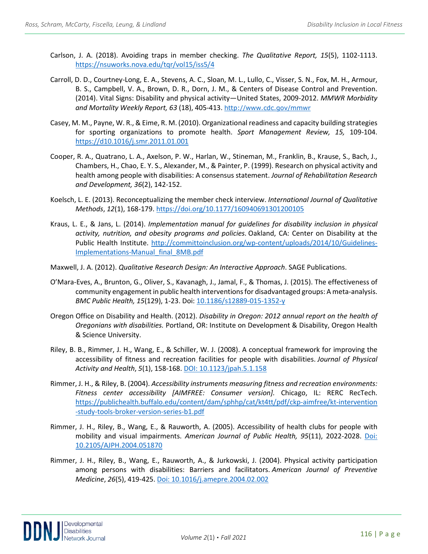- Carlson, J. A. (2018). Avoiding traps in member checking. *The Qualitative Report, 15*(5), 1102-1113. <https://nsuworks.nova.edu/tqr/vol15/iss5/4>
- Carroll, D. D., Courtney-Long, E. A., Stevens, A. C., Sloan, M. L., Lullo, C., Visser, S. N., Fox, M. H., Armour, B. S., Campbell, V. A., Brown, D. R., Dorn, J. M., & Centers of Disease Control and Prevention. (2014). Vital Signs: Disability and physical activity—United States, 2009-2012. *MMWR Morbidity and Mortality Weekly Report, 63* (18), 405-413. <http://www.cdc.gov/mmwr>
- Casey, M. M., Payne, W. R., & Eime, R. M. (2010). Organizational readiness and capacity building strategies for sporting organizations to promote health. *Sport Management Review, 15,* 109-104. [https://d10.1016/j.smr.2011.01.001](https://doi.org/10.1016/j.smr.2011.01.001)
- Cooper, R. A., Quatrano, L. A., Axelson, P. W., Harlan, W., Stineman, M., Franklin, B., Krause, S., Bach, J., Chambers, H., Chao, E. Y. S., Alexander, M., & Painter, P. (1999). Research on physical activity and health among people with disabilities: A consensus statement. *Journal of Rehabilitation Research and Development, 36*(2), 142-152.
- Koelsch, L. E. (2013). Reconceptualizing the member check interview. *International Journal of Qualitative Methods*, *12*(1), 168-179[. https://doi.org/10.1177/160940691301200105](https://doi.org/10.1177/160940691301200105)
- Kraus, L. E., & Jans, L. (2014). *Implementation manual for guidelines for disability inclusion in physical activity, nutrition, and obesity programs and policies*. Oakland, CA: Center on Disability at the Public Health Institute. [http://committoinclusion.org/wp-content/uploads/2014/10/Guidelines-](http://committoinclusion.org/wp-content/uploads/2014/10/Guidelines-Implementations-Manual_final_8MB.pdf)[Implementations-Manual\\_final\\_8MB.pdf](http://committoinclusion.org/wp-content/uploads/2014/10/Guidelines-Implementations-Manual_final_8MB.pdf)
- Maxwell, J. A. (2012). *Qualitative Research Design: An Interactive Approach*. SAGE Publications.
- O'Mara-Eves, A., Brunton, G., Oliver, S., Kavanagh, J., Jamal, F., & Thomas, J. (2015). The effectiveness of community engagement in public health interventions for disadvantaged groups: A meta-analysis. *BMC Public Health, 15*(129), 1-23. Doi: [10.1186/s12889-015-1352-y](https://doi.org/10.1186/s12889-015-1352-y)
- Oregon Office on Disability and Health. (2012). *Disability in Oregon: 2012 annual report on the health of Oregonians with disabilities.* Portland, OR: Institute on Development & Disability, Oregon Health & Science University.
- Riley, B. B., Rimmer, J. H., Wang, E., & Schiller, W. J. (2008). A conceptual framework for improving the accessibility of fitness and recreation facilities for people with disabilities. *Journal of Physical Activity and Health*, *5*(1), 158-168. [DOI: 10.1123/jpah.5.1.158](https://pubmed.ncbi.nlm.nih.gov/18209261/)
- Rimmer, J. H., & Riley, B. (2004). *Accessibility instruments measuring fitness and recreation environments: Fitness center accessibility [AIMFREE: Consumer version].* Chicago, IL: RERC RecTech. [https://publichealth.buffalo.edu/content/dam/sphhp/cat/kt4tt/pdf/ckp-aimfree/kt-intervention](https://publichealth.buffalo.edu/content/dam/sphhp/cat/kt4tt/pdf/ckp-aimfree/kt-intervention%20-study-tools-broker-version-series-b1.pdf)  [-study-tools-broker-version-series-b1.pdf](https://publichealth.buffalo.edu/content/dam/sphhp/cat/kt4tt/pdf/ckp-aimfree/kt-intervention%20-study-tools-broker-version-series-b1.pdf)
- Rimmer, J. H., Riley, B., Wang, E., & Rauworth, A. (2005). Accessibility of health clubs for people with mobility and visual impairments. *American Journal of Public Health, 95*(11), 2022-2028. [Doi:](https://ajph.aphapublications.org/doi/10.2105/AJPH.2004.051870)  [10.2105/AJPH.2004.051870](https://ajph.aphapublications.org/doi/10.2105/AJPH.2004.051870)
- Rimmer, J. H., Riley, B., Wang, E., Rauworth, A., & Jurkowski, J. (2004). Physical activity participation among persons with disabilities: Barriers and facilitators. *American Journal of Preventive Medicine*, *26*(5), 419-425. [Doi: 10.1016/j.amepre.2004.02.002](https://pubmed.ncbi.nlm.nih.gov/15165658/)